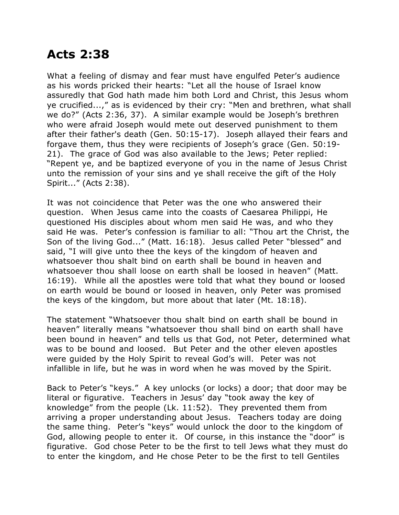## **Acts 2:38**

What a feeling of dismay and fear must have engulfed Peter's audience as his words pricked their hearts: "Let all the house of Israel know assuredly that God hath made him both Lord and Christ, this Jesus whom ye crucified...," as is evidenced by their cry: "Men and brethren, what shall we do?" (Acts 2:36, 37). A similar example would be Joseph's brethren who were afraid Joseph would mete out deserved punishment to them after their father's death (Gen. 50:15-17). Joseph allayed their fears and forgave them, thus they were recipients of Joseph's grace (Gen. 50:19- 21). The grace of God was also available to the Jews; Peter replied: "Repent ye, and be baptized everyone of you in the name of Jesus Christ unto the remission of your sins and ye shall receive the gift of the Holy Spirit..." (Acts 2:38).

It was not coincidence that Peter was the one who answered their question. When Jesus came into the coasts of Caesarea Philippi, He questioned His disciples about whom men said He was, and who they said He was. Peter's confession is familiar to all: "Thou art the Christ, the Son of the living God..." (Matt. 16:18). Jesus called Peter "blessed" and said, "I will give unto thee the keys of the kingdom of heaven and whatsoever thou shalt bind on earth shall be bound in heaven and whatsoever thou shall loose on earth shall be loosed in heaven" (Matt. 16:19). While all the apostles were told that what they bound or loosed on earth would be bound or loosed in heaven, only Peter was promised the keys of the kingdom, but more about that later (Mt. 18:18).

The statement "Whatsoever thou shalt bind on earth shall be bound in heaven" literally means "whatsoever thou shall bind on earth shall have been bound in heaven" and tells us that God, not Peter, determined what was to be bound and loosed. But Peter and the other eleven apostles were guided by the Holy Spirit to reveal God's will. Peter was not infallible in life, but he was in word when he was moved by the Spirit.

Back to Peter's "keys." A key unlocks (or locks) a door; that door may be literal or figurative. Teachers in Jesus' day "took away the key of knowledge" from the people (Lk. 11:52). They prevented them from arriving a proper understanding about Jesus. Teachers today are doing the same thing. Peter's "keys" would unlock the door to the kingdom of God, allowing people to enter it. Of course, in this instance the "door" is figurative. God chose Peter to be the first to tell Jews what they must do to enter the kingdom, and He chose Peter to be the first to tell Gentiles